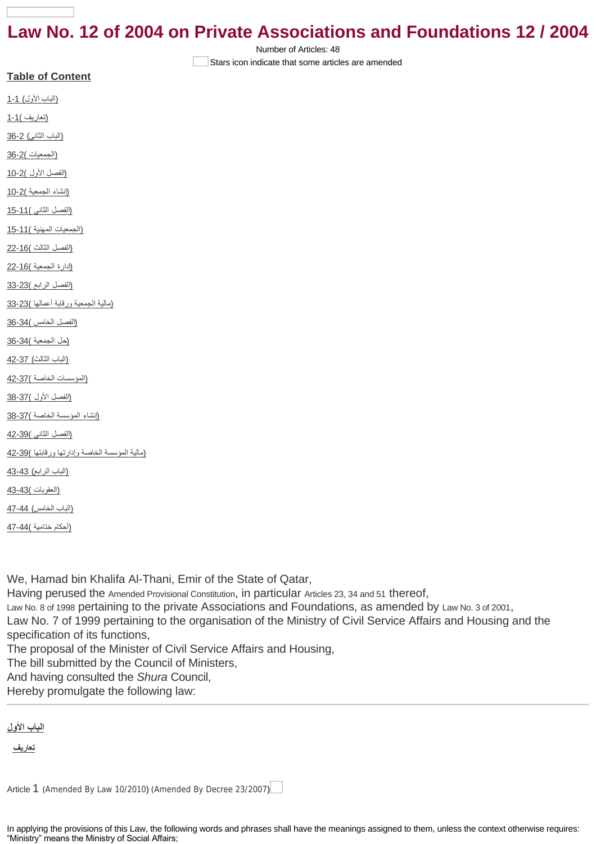# **Law No. 12 of 2004 on Private Associations and Foundations 12 / 2004**

Number of Articles: 48

Stars icon indicate that some articles are amended

| <u>(الباب الأول) 1-1</u>                       |
|------------------------------------------------|
| <u>(تعاريف )1-1</u>                            |
| (الباب الثاني) 2-36                            |
| (الجمعيات )2-36                                |
| <u> (الفصل الأول )2-10</u>                     |
| <u>(إنشاء الجمعية )2-10</u>                    |
| <u> (الفصل الثاني )11-15</u>                   |
| (الجمعيات المهنية )11-15                       |
| <u> (الفصل الثالث )16-22</u>                   |
| <u> (ادارة الجمعية )16-22</u>                  |
| <u> (الفصل الرابع )23-33</u>                   |
| (مالية الجمعية ورقابة أعمالها )23-33           |
| <u> (الفصل الخامس )34-36</u>                   |
| <u>(حل الجمعية )34-36</u>                      |
| <u> (الباب الثالث) 42-37</u>                   |
| <u> (المؤسسات الخاصية )37-42</u>               |
| <u> (الفصل الأول )37-38</u>                    |
| (إنشاء المؤسسة الخاصة )37-38                   |
| <u> (الفصل الثاني )39-42</u>                   |
| (مالية المؤسسة الخاصة وإدارتها ورقابتها )39-42 |
| <u> (الباب الر ابع) 43-43</u>                  |
| <u>(العقوبات )43-43</u>                        |
| (الباب الخامس) 44-47                           |
| <u>(أحكام ختامية )44-47</u>                    |
|                                                |

**Table of Content**

We, Hamad bin Khalifa Al-Thani, Emir of the State of Qatar, Having perused the [Amended Provisional Constitution](http://www.almeezan.qa/LawPage.aspx?id=2285&language=en), in particular [Articles 23, 34 and 51](http://www.almeezan.qa/LawArticles.aspx?LawArticleID=25928&LawID=2285&language=en) thereof, [Law No. 8 of 1998](http://www.almeezan.qa/LawPage.aspx?id=413&language=en) pertaining to the private Associations and Foundations, as amended by [Law No. 3 of 2001](http://www.almeezan.qa/LawPage.aspx?id=289&language=en), Law No. 7 of 1999 pertaining to the organisation of the Ministry of Civil Service Affairs and Housing and the specification of its functions, The proposal of the Minister of Civil Service Affairs and Housing, The bill submitted by the Council of Ministers, And having consulted the *Shura* Council,

Hereby promulgate the following law:

<span id="page-0-0"></span>**الباب [الأول](http://10.1.182.41/DownloadPage.aspx?Target=All&type=2&lawID=3956&language=en#)**

<span id="page-0-1"></span>**[تعاريف](http://10.1.182.41/DownloadPage.aspx?Target=All&type=2&lawID=3956&language=en#)**

[Article](http://10.1.182.41/LawArticles.aspx?LawArticleID=51572&lawId=3956&language=en) [1](http://10.1.182.41/LawArticles.aspx?LawArticleID=51572&lawId=3956&language=en) ([Amended By Law 10/2010](http://10.1.182.41/LawPage.aspx?id=2469&language=en)) ([Amended By Decree 23/2007](http://10.1.182.41/LawPage.aspx?id=2700&language=en))

In applying the provisions of this Law, the following words and phrases shall have the meanings assigned to them, unless the context otherwise requires: "Ministry" means the Ministry of Social Affairs;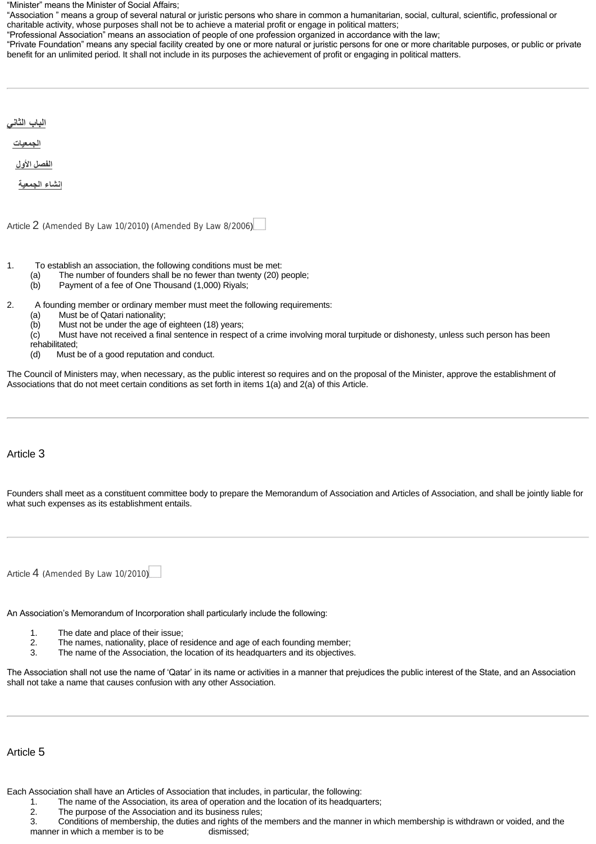"Minister" means the Minister of Social Affairs;

"Association " means a group of several natural or juristic persons who share in common a humanitarian, social, cultural, scientific, professional or charitable activity, whose purposes shall not be to achieve a material profit or engage in political matters;

"Professional Association" means an association of people of one profession organized in accordance with the law;

"Private Foundation" means any special facility created by one or more natural or juristic persons for one or more charitable purposes, or public or private benefit for an unlimited period. It shall not include in its purposes the achievement of profit or engaging in political matters.

<span id="page-1-2"></span><span id="page-1-1"></span><span id="page-1-0"></span>

| <u>الباب الثاني</u> |  |  |  |
|---------------------|--|--|--|
| الجمعيات            |  |  |  |
| الفصل الأول         |  |  |  |
| إنشاء الجمعية       |  |  |  |
|                     |  |  |  |

<span id="page-1-3"></span>[Article](http://10.1.182.41/LawArticles.aspx?LawArticleID=51575&lawId=3956&language=en) [2](http://10.1.182.41/LawArticles.aspx?LawArticleID=51575&lawId=3956&language=en) ([Amended By Law 10/2010](http://10.1.182.41/LawPage.aspx?id=2469&language=en)) ([Amended By Law 8/2006](http://10.1.182.41/LawPage.aspx?id=2646&language=en))

- 1. To establish an association, the following conditions must be met:
	- (a) The number of founders shall be no fewer than twenty (20) people;
	- (b) Payment of a fee of One Thousand (1,000) Riyals;
- 2. A founding member or ordinary member must meet the following requirements:
	- (a) Must be of Qatari nationality;
	- (b) Must not be under the age of eighteen (18) years;

(c) Must have not received a final sentence in respect of a crime involving moral turpitude or dishonesty, unless such person has been rehabilitated;<br>(d) Must

Must be of a good reputation and conduct.

The Council of Ministers may, when necessary, as the public interest so requires and on the proposal of the Minister, approve the establishment of Associations that do not meet certain conditions as set forth in items 1(a) and 2(a) of this Article.

## Article 3

Founders shall meet as a constituent committee body to prepare the Memorandum of Association and Articles of Association, and shall be jointly liable for what such expenses as its establishment entails.

[Article](http://10.1.182.41/LawArticles.aspx?LawArticleID=51579&lawId=3956&language=en) [4](http://10.1.182.41/LawArticles.aspx?LawArticleID=51579&lawId=3956&language=en) ([Amended By Law 10/2010](http://10.1.182.41/LawPage.aspx?id=2469&language=en))

An Association's Memorandum of Incorporation shall particularly include the following:

- 1. The date and place of their issue;<br>2. The names, nationality, place of re
- 2. The names, nationality, place of residence and age of each founding member;<br>3. The name of the Association, the location of its headquarters and its objectives
- The name of the Association, the location of its headquarters and its objectives.

The Association shall not use the name of 'Qatar' in its name or activities in a manner that prejudices the public interest of the State, and an Association shall not take a name that causes confusion with any other Association.

### Article 5

Each Association shall have an Articles of Association that includes, in particular, the following:

- 1. The name of the Association, its area of operation and the location of its headquarters;
- 2. The purpose of the Association and its business rules;

3. Conditions of membership, the duties and rights of the members and the manner in which membership is withdrawn or voided, and the manner in which a member is to be dismissed;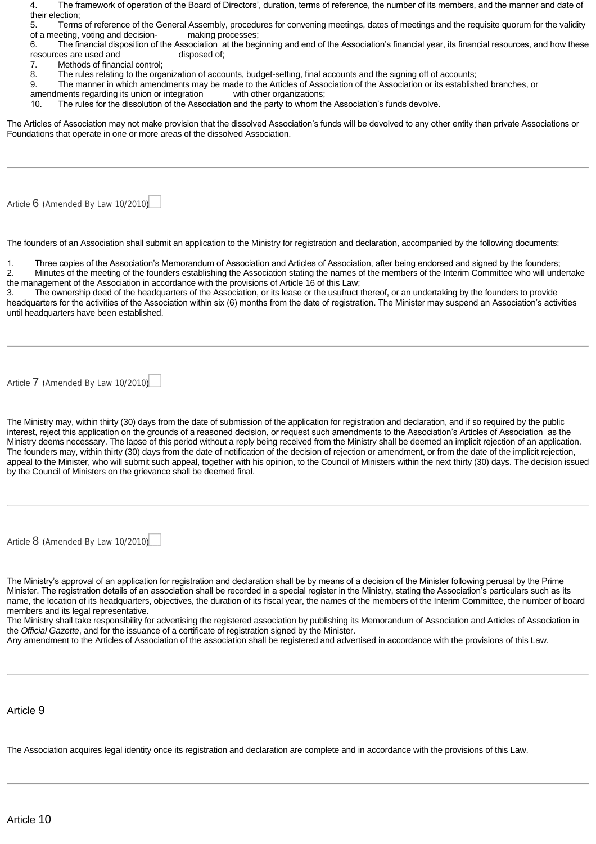| The framework of operation of the Board of Directors', duration, terms of reference, the number of its members, and the manner and date of |  |  |  |
|--------------------------------------------------------------------------------------------------------------------------------------------|--|--|--|
| their election:                                                                                                                            |  |  |  |

5. Terms of reference of the General Assembly, procedures for convening meetings, dates of meetings and the requisite quorum for the validity of a meeting, voting and decision- making processes;

6. The financial disposition of the Association at the beginning and end of the Association's financial year, its financial resources, and how these resources are used and disposed of;

- 7. Methods of financial control;
- 8. The rules relating to the organization of accounts, budget-setting, final accounts and the signing off of accounts;

9. The manner in which amendments may be made to the Articles of Association of the Association or its established branches, or

- amendments regarding its union or integration with other organizations;<br>10. The rules for the dissolution of the Association and the party to whom the
- The rules for the dissolution of the Association and the party to whom the Association's funds devolve.

The Articles of Association may not make provision that the dissolved Association's funds will be devolved to any other entity than private Associations or Foundations that operate in one or more areas of the dissolved Association.

[Article](http://10.1.182.41/LawArticles.aspx?LawArticleID=51582&lawId=3956&language=en) [6](http://10.1.182.41/LawArticles.aspx?LawArticleID=51582&lawId=3956&language=en) ([Amended By Law 10/2010](http://10.1.182.41/LawPage.aspx?id=2469&language=en))

The founders of an Association shall submit an application to the Ministry for registration and declaration, accompanied by the following documents:

1. Three copies of the Association's Memorandum of Association and Articles of Association, after being endorsed and signed by the founders;

2. Minutes of the meeting of the founders establishing the Association stating the names of the members of the Interim Committee who will undertake the management of the Association in accordance with the provisions of Article 16 of this Law;

3. The ownership deed of the headquarters of the Association, or its lease or the usufruct thereof, or an undertaking by the founders to provide headquarters for the activities of the Association within six (6) months from the date of registration. The Minister may suspend an Association's activities until headquarters have been established.

[Article](http://10.1.182.41/LawArticles.aspx?LawArticleID=51584&lawId=3956&language=en) [7](http://10.1.182.41/LawArticles.aspx?LawArticleID=51584&lawId=3956&language=en) ([Amended By Law 10/2010](http://10.1.182.41/LawPage.aspx?id=2469&language=en))

The Ministry may, within thirty (30) days from the date of submission of the application for registration and declaration, and if so required by the public interest, reject this application on the grounds of a reasoned decision, or request such amendments to the Association's Articles of Association as the Ministry deems necessary. The lapse of this period without a reply being received from the Ministry shall be deemed an implicit rejection of an application. The founders may, within thirty (30) days from the date of notification of the decision of rejection or amendment, or from the date of the implicit rejection, appeal to the Minister, who will submit such appeal, together with his opinion, to the Council of Ministers within the next thirty (30) days. The decision issued by the Council of Ministers on the grievance shall be deemed final.

[Article](http://10.1.182.41/LawArticles.aspx?LawArticleID=51586&lawId=3956&language=en) [8](http://10.1.182.41/LawArticles.aspx?LawArticleID=51586&lawId=3956&language=en) ([Amended By Law 10/2010](http://10.1.182.41/LawPage.aspx?id=2469&language=en))

The Ministry's approval of an application for registration and declaration shall be by means of a decision of the Minister following perusal by the Prime Minister. The registration details of an association shall be recorded in a special register in the Ministry, stating the Association's particulars such as its name, the location of its headquarters, objectives, the duration of its fiscal year, the names of the members of the Interim Committee, the number of board members and its legal representative.

The Ministry shall take responsibility for advertising the registered association by publishing its Memorandum of Association and Articles of Association in the *Official Gazette*, and for the issuance of a certificate of registration signed by the Minister.

Any amendment to the Articles of Association of the association shall be registered and advertised in accordance with the provisions of this Law.

#### Article 9

The Association acquires legal identity once its registration and declaration are complete and in accordance with the provisions of this Law.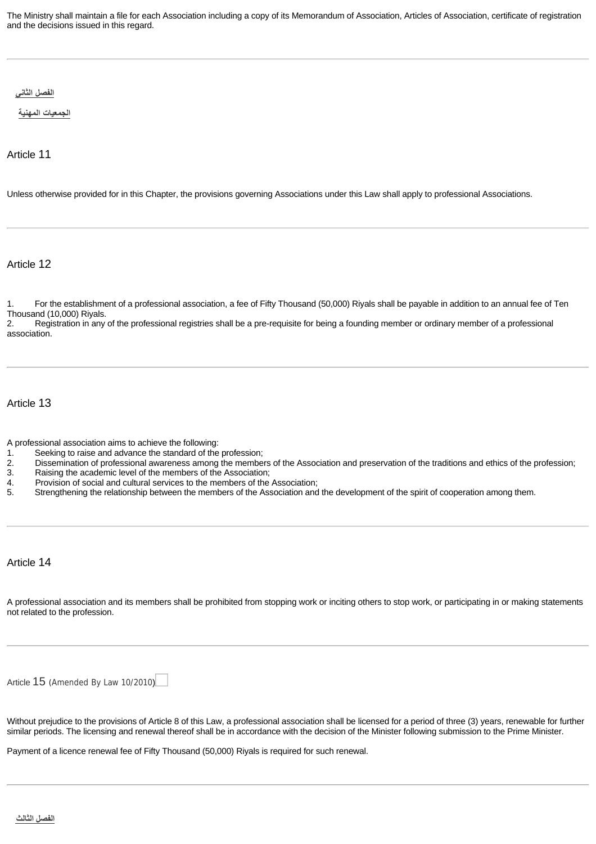The Ministry shall maintain a file for each Association including a copy of its Memorandum of Association, Articles of Association, certificate of registration and the decisions issued in this regard.

<span id="page-3-0"></span>**[الفصل](http://10.1.182.41/DownloadPage.aspx?Target=All&type=2&lawID=3956&language=en#) الثاني**

<span id="page-3-1"></span>**[الجمعيات](http://10.1.182.41/DownloadPage.aspx?Target=All&type=2&lawID=3956&language=en#) المهنية**

Article 11

Unless otherwise provided for in this Chapter, the provisions governing Associations under this Law shall apply to professional Associations.

Article 12

1. For the establishment of a professional association, a fee of Fifty Thousand (50,000) Riyals shall be payable in addition to an annual fee of Ten Thousand (10,000) Riyals.<br>2. Registration in any

2. Registration in any of the professional registries shall be a pre-requisite for being a founding member or ordinary member of a professional association.

Article 13

- A professional association aims to achieve the following:
- 1. Seeking to raise and advance the standard of the profession;<br>2. Dissemination of professional awareness among the membe 2. Dissemination of professional awareness among the members of the Association and preservation of the traditions and ethics of the profession;<br>3. Raising the academic level of the members of the Association;
- 
- 3. Raising the academic level of the members of the Association;<br>4. Provision of social and cultural services to the members of the 4. Provision of social and cultural services to the members of the Association;<br>5. Strengthening the relationship between the members of the Association and
- Strengthening the relationship between the members of the Association and the development of the spirit of cooperation among them.

Article 14

A professional association and its members shall be prohibited from stopping work or inciting others to stop work, or participating in or making statements not related to the profession.

[Article](http://10.1.182.41/LawArticles.aspx?LawArticleID=51594&lawId=3956&language=en) [15](http://10.1.182.41/LawArticles.aspx?LawArticleID=51594&lawId=3956&language=en) ([Amended By Law 10/2010](http://10.1.182.41/LawPage.aspx?id=2469&language=en))

Without prejudice to the provisions of Article 8 of this Law, a professional association shall be licensed for a period of three (3) years, renewable for further similar periods. The licensing and renewal thereof shall be in accordance with the decision of the Minister following submission to the Prime Minister.

<span id="page-3-3"></span><span id="page-3-2"></span>Payment of a licence renewal fee of Fifty Thousand (50,000) Riyals is required for such renewal.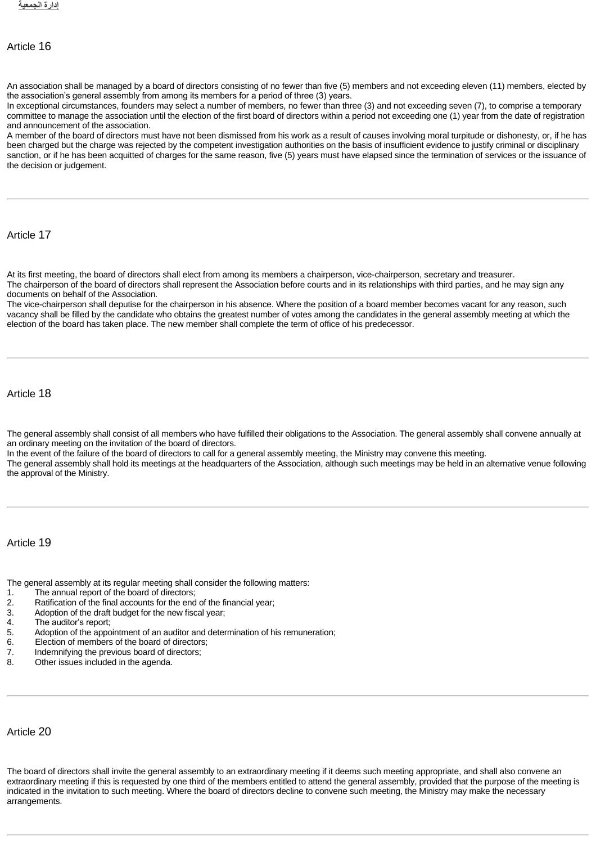## Article 16

An association shall be managed by a board of directors consisting of no fewer than five (5) members and not exceeding eleven (11) members, elected by the association's general assembly from among its members for a period of three (3) years.

In exceptional circumstances, founders may select a number of members, no fewer than three (3) and not exceeding seven (7), to comprise a temporary committee to manage the association until the election of the first board of directors within a period not exceeding one (1) year from the date of registration and announcement of the association.

A member of the board of directors must have not been dismissed from his work as a result of causes involving moral turpitude or dishonesty, or, if he has been charged but the charge was rejected by the competent investigation authorities on the basis of insufficient evidence to justify criminal or disciplinary sanction, or if he has been acquitted of charges for the same reason, five (5) years must have elapsed since the termination of services or the issuance of the decision or judgement.

Article 17

At its first meeting, the board of directors shall elect from among its members a chairperson, vice-chairperson, secretary and treasurer.

The chairperson of the board of directors shall represent the Association before courts and in its relationships with third parties, and he may sign any documents on behalf of the Association.

The vice-chairperson shall deputise for the chairperson in his absence. Where the position of a board member becomes vacant for any reason, such vacancy shall be filled by the candidate who obtains the greatest number of votes among the candidates in the general assembly meeting at which the election of the board has taken place. The new member shall complete the term of office of his predecessor.

Article 18

The general assembly shall consist of all members who have fulfilled their obligations to the Association. The general assembly shall convene annually at an ordinary meeting on the invitation of the board of directors.

In the event of the failure of the board of directors to call for a general assembly meeting, the Ministry may convene this meeting.

The general assembly shall hold its meetings at the headquarters of the Association, although such meetings may be held in an alternative venue following the approval of the Ministry.

#### Article 19

The general assembly at its regular meeting shall consider the following matters:

- 1. The annual report of the board of directors;<br>2. Ratification of the final accounts for the end
- 2. Ratification of the final accounts for the end of the financial year;<br>3. Adoption of the draft budget for the new fiscal year;
- 3. Adoption of the draft budget for the new fiscal year;<br>4. The auditor's report:
- 4. The auditor's report;<br>5. Adoption of the appo
- 5. Adoption of the appointment of an auditor and determination of his remuneration;<br>6. Election of members of the board of directors;
- 6. Election of members of the board of directors;<br>7. Indemnifying the previous board of directors;
- 7. Indemnifying the previous board of directors;<br>8. Other issues included in the agenda.
- Other issues included in the agenda.

## Article 20

The board of directors shall invite the general assembly to an extraordinary meeting if it deems such meeting appropriate, and shall also convene an extraordinary meeting if this is requested by one third of the members entitled to attend the general assembly, provided that the purpose of the meeting is indicated in the invitation to such meeting. Where the board of directors decline to convene such meeting, the Ministry may make the necessary arrangements.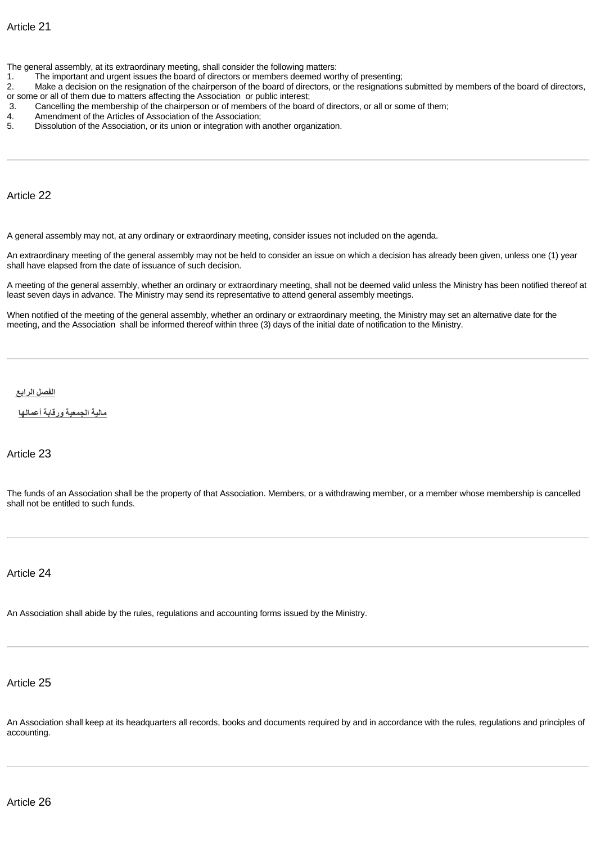The general assembly, at its extraordinary meeting, shall consider the following matters:

- 1. The important and urgent issues the board of directors or members deemed worthy of presenting;
- 2. Make a decision on the resignation of the chairperson of the board of directors, or the resignations submitted by members of the board of directors, or some or all of them due to matters affecting the Association or public interest;<br>3. Cancelling the membership of the chairperson or of members of the board
- 3. Cancelling the membership of the chairperson or of members of the board of directors, or all or some of them;<br>4. Amendment of the Articles of Association of the Association;
- 4. Amendment of the Articles of Association of the Association;<br>5. Dissolution of the Association, or its union or integration with
- Dissolution of the Association, or its union or integration with another organization.

Article 22

A general assembly may not, at any ordinary or extraordinary meeting, consider issues not included on the agenda.

An extraordinary meeting of the general assembly may not be held to consider an issue on which a decision has already been given, unless one (1) year shall have elapsed from the date of issuance of such decision.

A meeting of the general assembly, whether an ordinary or extraordinary meeting, shall not be deemed valid unless the Ministry has been notified thereof at least seven days in advance. The Ministry may send its representative to attend general assembly meetings.

When notified of the meeting of the general assembly, whether an ordinary or extraordinary meeting, the Ministry may set an alternative date for the meeting, and the Association shall be informed thereof within three (3) days of the initial date of notification to the Ministry.

<span id="page-5-0"></span>**[الفصل](http://10.1.182.41/DownloadPage.aspx?Target=All&type=2&lawID=3956&language=en#) الرابع**

<span id="page-5-1"></span>**مالية [الجمعية](http://10.1.182.41/DownloadPage.aspx?Target=All&type=2&lawID=3956&language=en#) ورقابة أعمالها**

Article 23

The funds of an Association shall be the property of that Association. Members, or a withdrawing member, or a member whose membership is cancelled shall not be entitled to such funds.

Article 24

An Association shall abide by the rules, regulations and accounting forms issued by the Ministry.

Article 25

An Association shall keep at its headquarters all records, books and documents required by and in accordance with the rules, regulations and principles of accounting.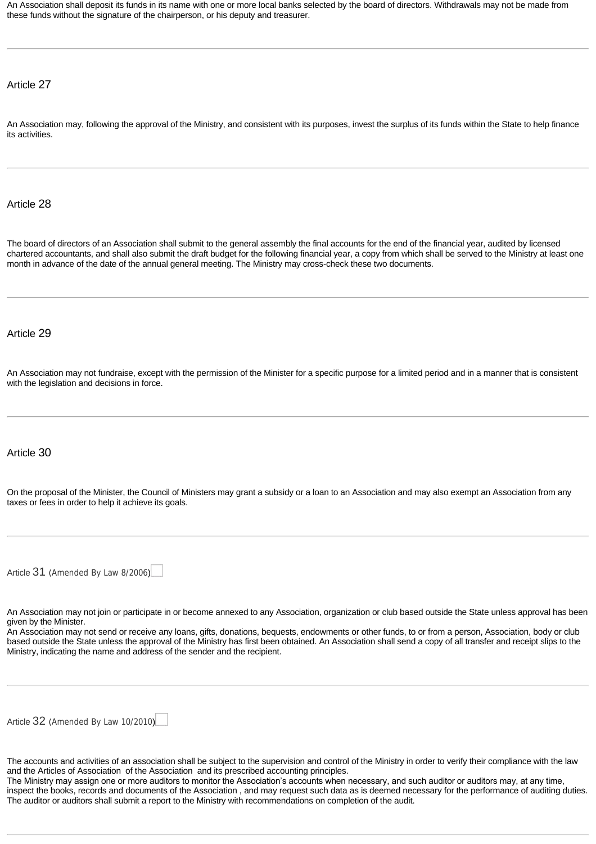An Association shall deposit its funds in its name with one or more local banks selected by the board of directors. Withdrawals may not be made from these funds without the signature of the chairperson, or his deputy and treasurer.

Article 27

An Association may, following the approval of the Ministry, and consistent with its purposes, invest the surplus of its funds within the State to help finance its activities.

Article 28

The board of directors of an Association shall submit to the general assembly the final accounts for the end of the financial year, audited by licensed chartered accountants, and shall also submit the draft budget for the following financial year, a copy from which shall be served to the Ministry at least one month in advance of the date of the annual general meeting. The Ministry may cross-check these two documents.

#### Article 29

An Association may not fundraise, except with the permission of the Minister for a specific purpose for a limited period and in a manner that is consistent with the legislation and decisions in force.

#### Article 30

On the proposal of the Minister, the Council of Ministers may grant a subsidy or a loan to an Association and may also exempt an Association from any taxes or fees in order to help it achieve its goals.

[Article](http://10.1.182.41/LawArticles.aspx?LawArticleID=51611&lawId=3956&language=en) [31](http://10.1.182.41/LawArticles.aspx?LawArticleID=51611&lawId=3956&language=en) ([Amended By Law 8/2006](http://10.1.182.41/LawPage.aspx?id=2646&language=en))

An Association may not join or participate in or become annexed to any Association, organization or club based outside the State unless approval has been given by the Minister.

An Association may not send or receive any loans, gifts, donations, bequests, endowments or other funds, to or from a person, Association, body or club based outside the State unless the approval of the Ministry has first been obtained. An Association shall send a copy of all transfer and receipt slips to the Ministry, indicating the name and address of the sender and the recipient.

[Article](http://10.1.182.41/LawArticles.aspx?LawArticleID=51613&lawId=3956&language=en) [32](http://10.1.182.41/LawArticles.aspx?LawArticleID=51613&lawId=3956&language=en) ([Amended By Law 10/2010](http://10.1.182.41/LawPage.aspx?id=2469&language=en))

The accounts and activities of an association shall be subject to the supervision and control of the Ministry in order to verify their compliance with the law and the Articles of Association of the Association and its prescribed accounting principles.

The Ministry may assign one or more auditors to monitor the Association's accounts when necessary, and such auditor or auditors may, at any time, inspect the books, records and documents of the Association , and may request such data as is deemed necessary for the performance of auditing duties. The auditor or auditors shall submit a report to the Ministry with recommendations on completion of the audit.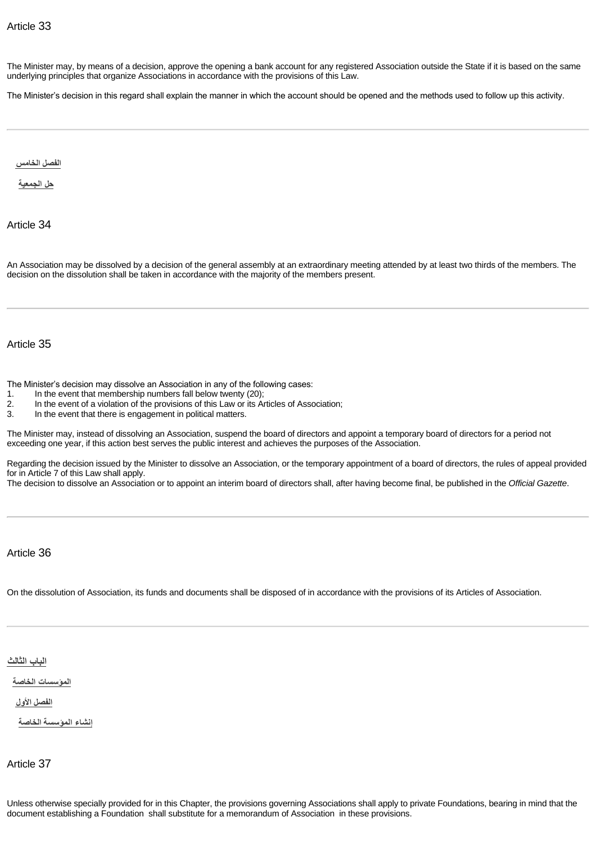The Minister may, by means of a decision, approve the opening a bank account for any registered Association outside the State if it is based on the same underlying principles that organize Associations in accordance with the provisions of this Law.

The Minister's decision in this regard shall explain the manner in which the account should be opened and the methods used to follow up this activity.

<span id="page-7-0"></span>**الفصل [الخامس](http://10.1.182.41/DownloadPage.aspx?Target=All&type=2&lawID=3956&language=en#)**

<span id="page-7-1"></span>**حل [الجمعية](http://10.1.182.41/DownloadPage.aspx?Target=All&type=2&lawID=3956&language=en#)**

Article 34

An Association may be dissolved by a decision of the general assembly at an extraordinary meeting attended by at least two thirds of the members. The decision on the dissolution shall be taken in accordance with the majority of the members present.

Article 35

The Minister's decision may dissolve an Association in any of the following cases:

- 1. In the event that membership numbers fall below twenty (20);<br>2. In the event of a violation of the provisions of this Law or its Ar
- 2. In the event of a violation of the provisions of this Law or its Articles of Association;<br>3. In the event that there is engagement in political matters.
- In the event that there is engagement in political matters.

The Minister may, instead of dissolving an Association, suspend the board of directors and appoint a temporary board of directors for a period not exceeding one year, if this action best serves the public interest and achieves the purposes of the Association.

Regarding the decision issued by the Minister to dissolve an Association, or the temporary appointment of a board of directors, the rules of appeal provided for in Article 7 of this Law shall apply.

The decision to dissolve an Association or to appoint an interim board of directors shall, after having become final, be published in the *Official Gazette*.

Article 36

On the dissolution of Association, its funds and documents shall be disposed of in accordance with the provisions of its Articles of Association.

<span id="page-7-2"></span>**الباب [الثالث](http://10.1.182.41/DownloadPage.aspx?Target=All&type=2&lawID=3956&language=en#)**

<span id="page-7-3"></span>**[المؤسسات](http://10.1.182.41/DownloadPage.aspx?Target=All&type=2&lawID=3956&language=en#) الخاصة**

<span id="page-7-4"></span>**[الفصل](http://10.1.182.41/DownloadPage.aspx?Target=All&type=2&lawID=3956&language=en#) الأول**

<span id="page-7-5"></span>**إنشاء [المؤسسة](http://10.1.182.41/DownloadPage.aspx?Target=All&type=2&lawID=3956&language=en#) الخاصة**

Article 37

Unless otherwise specially provided for in this Chapter, the provisions governing Associations shall apply to private Foundations, bearing in mind that the document establishing a Foundation shall substitute for a memorandum of Association in these provisions.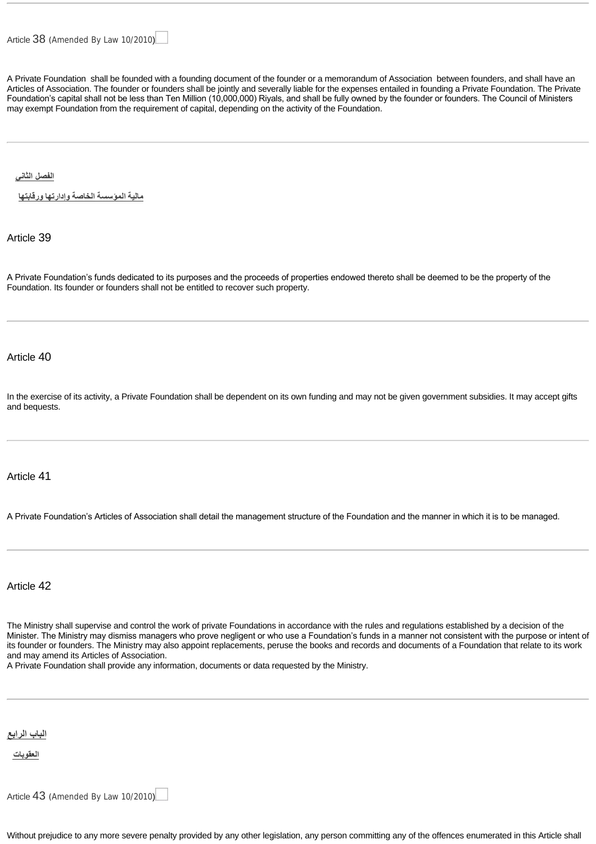A Private Foundation shall be founded with a founding document of the founder or a memorandum of Association between founders, and shall have an Articles of Association. The founder or founders shall be jointly and severally liable for the expenses entailed in founding a Private Foundation. The Private Foundation's capital shall not be less than Ten Million (10,000,000) Riyals, and shall be fully owned by the founder or founders. The Council of Ministers may exempt Foundation from the requirement of capital, depending on the activity of the Foundation.

<span id="page-8-0"></span>**[الفصل](http://10.1.182.41/DownloadPage.aspx?Target=All&type=2&lawID=3956&language=en#) الثاني**

<span id="page-8-1"></span>**مالية [المؤسسة](http://10.1.182.41/DownloadPage.aspx?Target=All&type=2&lawID=3956&language=en#) الخاصة وإدارتها ورقابتها**

Article 39

A Private Foundation's funds dedicated to its purposes and the proceeds of properties endowed thereto shall be deemed to be the property of the Foundation. Its founder or founders shall not be entitled to recover such property.

Article 40

In the exercise of its activity, a Private Foundation shall be dependent on its own funding and may not be given government subsidies. It may accept gifts and bequests.

#### Article 41

A Private Foundation's Articles of Association shall detail the management structure of the Foundation and the manner in which it is to be managed.

Article 42

The Ministry shall supervise and control the work of private Foundations in accordance with the rules and regulations established by a decision of the Minister. The Ministry may dismiss managers who prove negligent or who use a Foundation's funds in a manner not consistent with the purpose or intent of its founder or founders. The Ministry may also appoint replacements, peruse the books and records and documents of a Foundation that relate to its work and may amend its Articles of Association.

A Private Foundation shall provide any information, documents or data requested by the Ministry.

<span id="page-8-2"></span>**الباب [الرابع](http://10.1.182.41/DownloadPage.aspx?Target=All&type=2&lawID=3956&language=en#)**

<span id="page-8-3"></span>**[العقوبات](http://10.1.182.41/DownloadPage.aspx?Target=All&type=2&lawID=3956&language=en#)**

[Article](http://10.1.182.41/LawArticles.aspx?LawArticleID=51626&lawId=3956&language=en) [43](http://10.1.182.41/LawArticles.aspx?LawArticleID=51626&lawId=3956&language=en) ([Amended By Law 10/2010](http://10.1.182.41/LawPage.aspx?id=2469&language=en))

Without prejudice to any more severe penalty provided by any other legislation, any person committing any of the offences enumerated in this Article shall